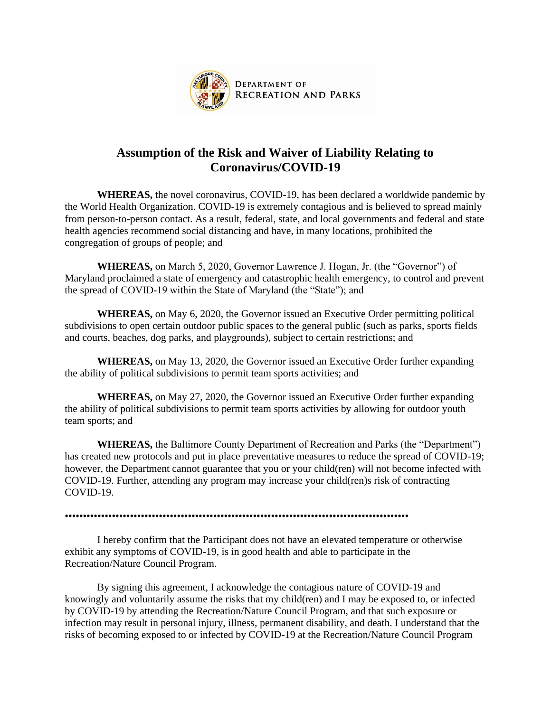

## **Assumption of the Risk and Waiver of Liability Relating to Coronavirus/COVID-19**

**WHEREAS,** the novel coronavirus, COVID-19, has been declared a worldwide pandemic by the World Health Organization. COVID-19 is extremely contagious and is believed to spread mainly from person-to-person contact. As a result, federal, state, and local governments and federal and state health agencies recommend social distancing and have, in many locations, prohibited the congregation of groups of people; and

**WHEREAS,** on March 5, 2020, Governor Lawrence J. Hogan, Jr. (the "Governor") of Maryland proclaimed a state of emergency and catastrophic health emergency, to control and prevent the spread of COVID-19 within the State of Maryland (the "State"); and

**WHEREAS,** on May 6, 2020, the Governor issued an Executive Order permitting political subdivisions to open certain outdoor public spaces to the general public (such as parks, sports fields and courts, beaches, dog parks, and playgrounds), subject to certain restrictions; and

**WHEREAS,** on May 13, 2020, the Governor issued an Executive Order further expanding the ability of political subdivisions to permit team sports activities; and

**WHEREAS,** on May 27, 2020, the Governor issued an Executive Order further expanding the ability of political subdivisions to permit team sports activities by allowing for outdoor youth team sports; and

**WHEREAS,** the Baltimore County Department of Recreation and Parks (the "Department") has created new protocols and put in place preventative measures to reduce the spread of COVID-19; however, the Department cannot guarantee that you or your child(ren) will not become infected with COVID-19. Further, attending any program may increase your child(ren)s risk of contracting COVID-19.

•••••••••••••••••••••••••••••••••••••••••••••••••••••••••••••••••••••••••••••••••••••••••••••••

I hereby confirm that the Participant does not have an elevated temperature or otherwise exhibit any symptoms of COVID-19, is in good health and able to participate in the Recreation/Nature Council Program.

By signing this agreement, I acknowledge the contagious nature of COVID-19 and knowingly and voluntarily assume the risks that my child(ren) and I may be exposed to, or infected by COVID-19 by attending the Recreation/Nature Council Program, and that such exposure or infection may result in personal injury, illness, permanent disability, and death. I understand that the risks of becoming exposed to or infected by COVID-19 at the Recreation/Nature Council Program